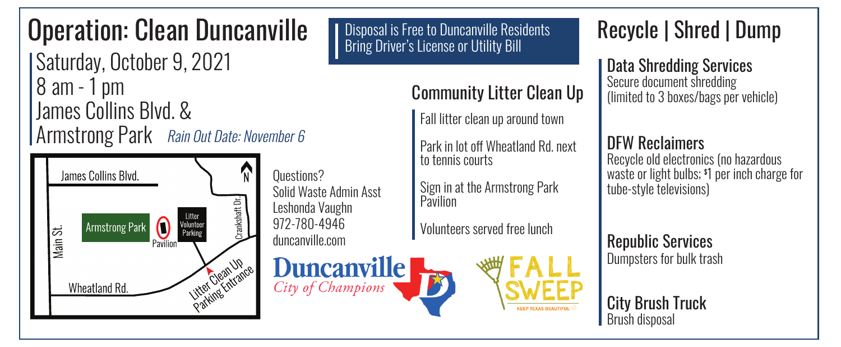# Operation: Clean Duncanville

 Saturday, October 9, 2021 8 am - 1 pm James Collins Blvd. & Armstrong Park Rain Out Date: November 6



Questions? Solid Waste Admin Asst Leshonda Vaughn 972-780-4946 duncanville.com

**Duncanville** City of Champions

**Disposal is Free to Duncanville Residents** Bring Driver's License or Utility Bill

Community Litter Clean Up

Fall litter clean up around town

Park in lot off Wheatland Rd. next to tennis courts

Sign in at the Armstrong Park **Pavilion** 

Volunteers served free lunch

### Recycle | Shred | Dump

Data Shredding Services Secure document shredding (limited to 3 boxes/bags per vehicle)

### DFW Reclaimers

Recycle old electronics (no hazardous waste or light bulbs; \$ 1 per inch charge for tube-style televisions)

Republic Services Dumpsters for bulk trash

City Brush Truck Brush disposal